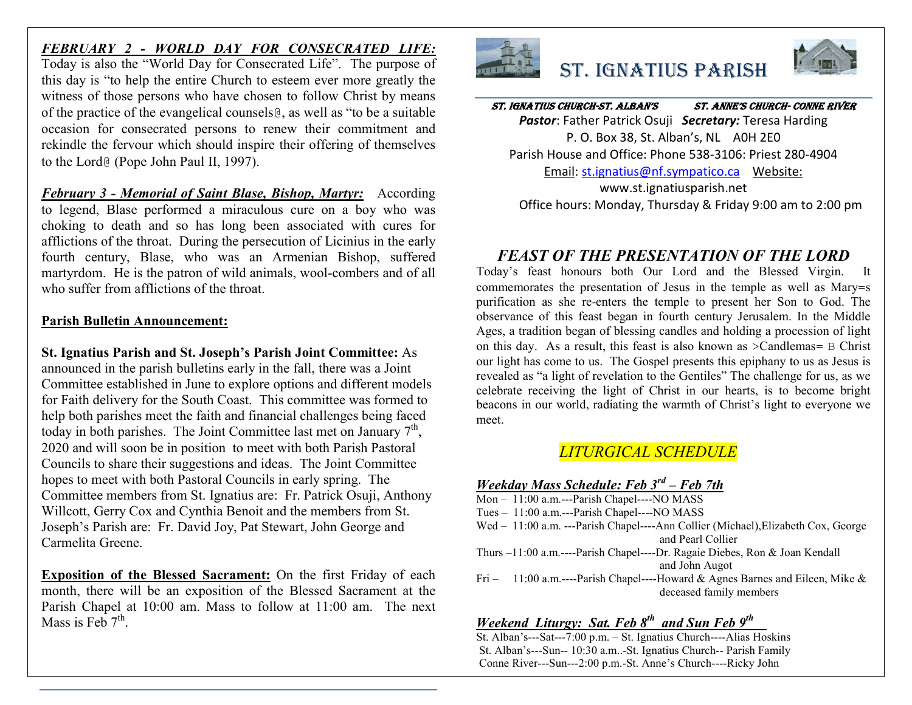## *FEBRUARY 2 - WORLD DAY FOR CONSECRATED LIFE:*

Today is also the "World Day for Consecrated Life". The purpose of this day is "to help the entire Church to esteem ever more greatly the witness of those persons who have chosen to follow Christ by means of the practice of the evangelical counsels@, as well as "to be a suitable occasion for consecrated persons to renew their commitment and rekindle the fervour which should inspire their offering of themselves to the Lord@ (Pope John Paul II, 1997).

*February 3 - Memorial of Saint Blase, Bishop, Martyr:* According to legend, Blase performed a miraculous cure on a boy who was choking to death and so has long been associated with cures for afflictions of the throat. During the persecution of Licinius in the early fourth century, Blase, who was an Armenian Bishop, suffered martyrdom. He is the patron of wild animals, wool-combers and of all who suffer from afflictions of the throat.

#### **Parish Bulletin Announcement:**

**St. Ignatius Parish and St. Joseph's Parish Joint Committee:** As announced in the parish bulletins early in the fall, there was a Joint Committee established in June to explore options and different models for Faith delivery for the South Coast. This committee was formed to help both parishes meet the faith and financial challenges being faced today in both parishes. The Joint Committee last met on January  $7<sup>th</sup>$ , 2020 and will soon be in position to meet with both Parish Pastoral Councils to share their suggestions and ideas. The Joint Committee hopes to meet with both Pastoral Councils in early spring. The Committee members from St. Ignatius are: Fr. Patrick Osuji, Anthony Willcott, Gerry Cox and Cynthia Benoit and the members from St. Joseph's Parish are: Fr. David Joy, Pat Stewart, John George and Carmelita Greene.

**Exposition of the Blessed Sacrament:** On the first Friday of each month, there will be an exposition of the Blessed Sacrament at the Parish Chapel at 10:00 am. Mass to follow at 11:00 am. The next Mass is Feb  $7<sup>th</sup>$ .



# St. IgnatIuS ParISh



St. IgnatIuS ChurCh-St. alban'S St. anne'S ChurCh- Conne rIver *Pastor*: Father Patrick Osuji *Secretary:* Teresa Harding P. O. Box 38, St. Alban's, NL A0H 2E0 Parish House and Office: Phone 538-3106: Priest 280-4904 Email: st.ignatius@nf.sympatico.ca Website: www.st.ignatiusparish.net Office hours: Monday, Thursday & Friday 9:00 am to 2:00 pm

# *FEAST OF THE PRESENTATION OF THE LORD*

Today's feast honours both Our Lord and the Blessed Virgin. It commemorates the presentation of Jesus in the temple as well as Mary=s purification as she re-enters the temple to present her Son to God. The observance of this feast began in fourth century Jerusalem. In the Middle Ages, a tradition began of blessing candles and holding a procession of light on this day. As a result, this feast is also known as >Candlemas= B Christ our light has come to us. The Gospel presents this epiphany to us as Jesus is revealed as "a light of revelation to the Gentiles" The challenge for us, as we celebrate receiving the light of Christ in our hearts, is to become bright beacons in our world, radiating the warmth of Christ's light to everyone we meet.

## *LITURGICAL SCHEDULE*

#### *Weekday Mass Schedule: Feb 3rd – Feb 7th*

- $Mon 11:00$  a.m.---Parish Chapel----NO MASS
- Tues 11:00 a.m.---Parish Chapel----NO MASS
- Wed 11:00 a.m. ---Parish Chapel----Ann Collier (Michael),Elizabeth Cox, George and Pearl Collier
- Thurs –11:00 a.m.----Parish Chapel----Dr. Ragaie Diebes, Ron & Joan Kendall and John Augot
- Fri 11:00 a.m.----Parish Chapel----Howard & Agnes Barnes and Eileen, Mike & deceased family members

### *Weekend Liturgy: Sat. Feb 8th and Sun Feb 9th*

St. Alban's---Sat---7:00 p.m. – St. Ignatius Church----Alias Hoskins St. Alban's---Sun-- 10:30 a.m..-St. Ignatius Church-- Parish Family Conne River---Sun---2:00 p.m.-St. Anne's Church----Ricky John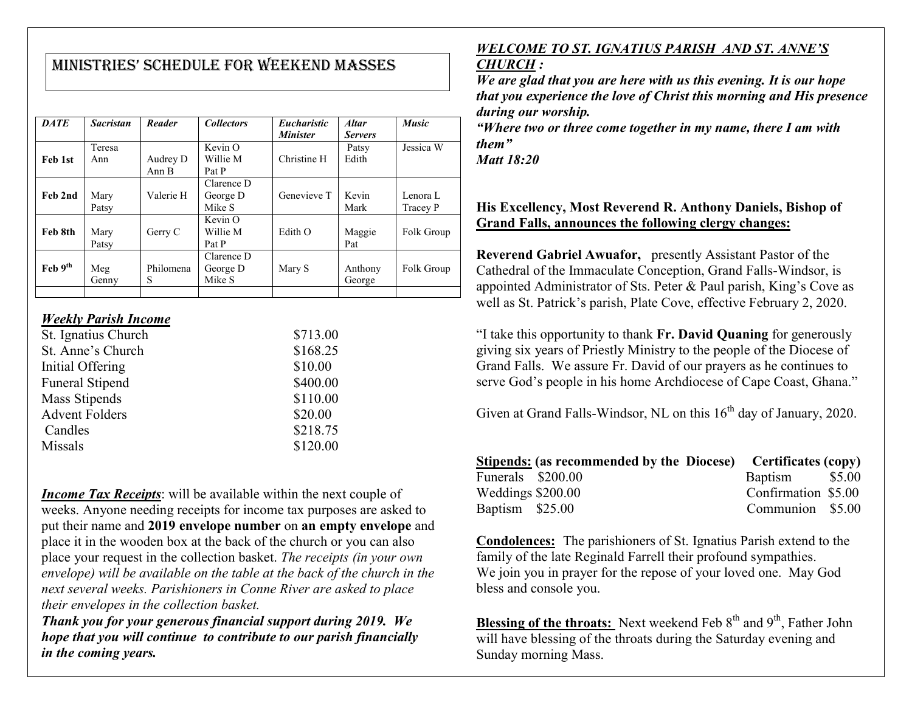# MInIStrIeS' Schedule for Weekend MaSSeS

| <b>DATE</b>                 | <b>Sacristan</b> | Reader            | <b>Collectors</b>                | <i>Eucharistic</i><br><b>Minister</b> | <b>Altar</b><br><b>Servers</b> | <b>Music</b>         |
|-----------------------------|------------------|-------------------|----------------------------------|---------------------------------------|--------------------------------|----------------------|
| Feb 1st                     | Teresa<br>Ann    | Audrey D<br>Ann B | Kevin O<br>Willie M<br>Pat P     | Christine H                           | Patsy<br>Edith                 | Jessica W            |
| Feb 2nd                     | Mary<br>Patsy    | Valerie H         | Clarence D<br>George D<br>Mike S | Genevieve T                           | Kevin<br>Mark                  | Lenora L<br>Tracey P |
| Feb 8th                     | Mary<br>Patsy    | Gerry C           | Kevin O<br>Willie M<br>Pat P     | Edith O                               | Maggie<br>Pat                  | Folk Group           |
| $\text{Feb } 9^{\text{th}}$ | Meg<br>Genny     | Philomena<br>S    | Clarence D<br>George D<br>Mike S | Mary S                                | Anthony<br>George              | Folk Group           |
|                             |                  |                   |                                  |                                       |                                |                      |

#### *Weekly Parish Income*

| \$713.00 |
|----------|
| \$168.25 |
| \$10.00  |
| \$400.00 |
| \$110.00 |
| \$20.00  |
| \$218.75 |
| \$120.00 |
|          |

*Income Tax Receipts*: will be available within the next couple of weeks. Anyone needing receipts for income tax purposes are asked to put their name and **2019 envelope number** on **an empty envelope** and place it in the wooden box at the back of the church or you can also place your request in the collection basket. *The receipts (in your own envelope) will be available on the table at the back of the church in the next several weeks. Parishioners in Conne River are asked to place their envelopes in the collection basket.*

*Thank you for your generous financial support during 2019. We hope that you will continue to contribute to our parish financially in the coming years.*

# *WELCOME TO ST. IGNATIUS PARISH AND ST. ANNE'S*

#### *CHURCH :*

*We are glad that you are here with us this evening. It is our hope that you experience the love of Christ this morning and His presence during our worship.*

*"Where two or three come together in my name, there I am with them"*

*Matt 18:20*

#### **His Excellency, Most Reverend R. Anthony Daniels, Bishop of Grand Falls, announces the following clergy changes:**

**Reverend Gabriel Awuafor,** presently Assistant Pastor of the Cathedral of the Immaculate Conception, Grand Falls-Windsor, is appointed Administrator of Sts. Peter & Paul parish, King's Cove as well as St. Patrick's parish, Plate Cove, effective February 2, 2020.

"I take this opportunity to thank **Fr. David Quaning** for generously giving six years of Priestly Ministry to the people of the Diocese of Grand Falls. We assure Fr. David of our prayers as he continues to serve God's people in his home Archdiocese of Cape Coast, Ghana."

Given at Grand Falls-Windsor, NL on this  $16<sup>th</sup>$  day of January, 2020.

|                   | Stipends: (as recommended by the Diocese) Certificates (copy) |                     |  |
|-------------------|---------------------------------------------------------------|---------------------|--|
| Funerals \$200.00 |                                                               | Baptism \$5.00      |  |
| Weddings \$200.00 |                                                               | Confirmation \$5.00 |  |
| Baptism \$25.00   |                                                               | Communion \$5.00    |  |

**Condolences:** The parishioners of St. Ignatius Parish extend to the family of the late Reginald Farrell their profound sympathies. We join you in prayer for the repose of your loved one. May God bless and console you.

**Blessing of the throats:** Next weekend Feb 8<sup>th</sup> and 9<sup>th</sup>, Father John will have blessing of the throats during the Saturday evening and Sunday morning Mass.